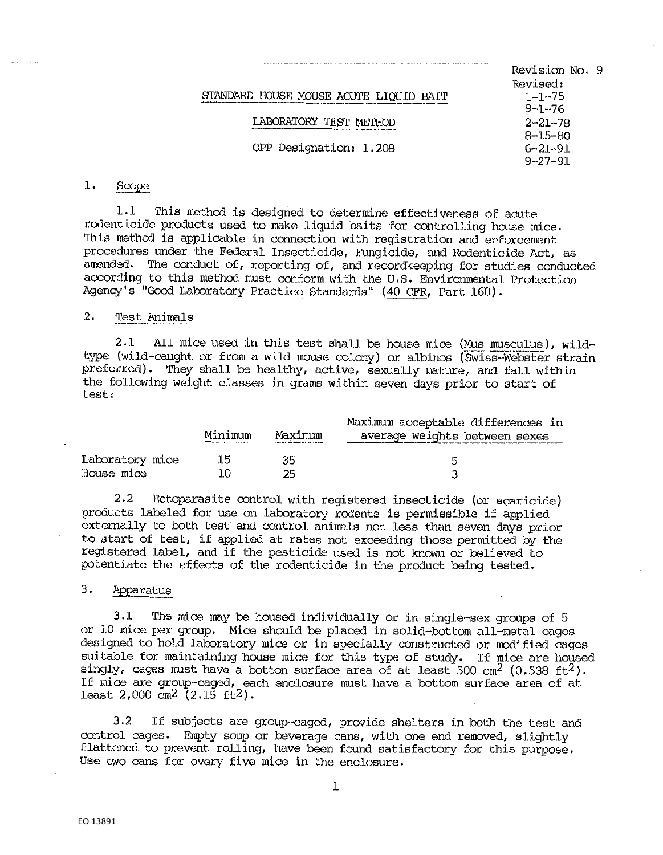|                                        | Revision No. 9 |
|----------------------------------------|----------------|
|                                        | Revised:       |
| STANDARD HOUSE MOUSE ACUTE LIQUID BAIT | $1 - 1 - 75$   |
|                                        | $9 - 1 - 76$   |
| LABORATORY TEST METHOD                 | $2 - 21 - 78$  |
|                                        | $8 - 15 - 80$  |
| OPP Designation: 1.208                 | $6 - 21 - 91$  |
|                                        | $9 - 27 - 91$  |
|                                        |                |

#### $1.$ Scope

1.1 This method is designed to determine effectiveness of acute rodenticide products used to make liquid baits for controlling house mice, This method is applicable in connection with registration and enforcement procedures under the Federal Insecticide, Fungicide, and Rodenticide Act, as amended. The conduct of, reporting of, and recordkeeping for studies conducted according to this method must conform with the U.S. Environmental Protection Agency's "Good Laboratory Practice Standards" (40 CFR, Part 160).

# 2. Test Animals

2.1 All mice used in this test shall be house mice (Mus musculus), wildtype (wild-caught or from a wild mouse colony) or albinos (Swiss··Webater strain preferred). They shall be healthy, active, sexually mature, and fall within the following weight classes in grams within seven days prior to start of test:

|                 | Minimum | Maximum | Maximum acceptable differences in<br>average weights between sexes |
|-----------------|---------|---------|--------------------------------------------------------------------|
| Laboratory mice | 15      | 35      |                                                                    |
| House mice      | 10      | 25.     |                                                                    |

2.2 Ectoparasite control with registered insecticide (or acaricide) products labeled for use on laboratory rodents is permissible if applied externally to both test and control animals not less than seven days prior to start of test, if applied at rates not exceeding those permitted by the registered label, and if the pesticide used is not known or believed to potentiate the effects of the rodenticide in the product being tested.

## 3. Apparatus

3.1 The mice may be housed individually or in single-sex groups of 5 or 10 mice per group. Mi.ce should be placed in solid-bottom all-metal cages designed to hold laboratory mice or in specially constructed or modified cages suitable for maintaining house mice for this type of study. If mice are housed singly, cages must have a botton surface area of at least 500 cm<sup>2</sup> (0.538 ft<sup>2</sup>). If mice are group-caged, each enclosure must have a bottom surface area of at least 2,000 cm2 (2,15 ft2),

3.2 If subjects are group-caged, provide shelters in both the test and control cages, Empty soup or beverage cans, with one end removed, slightly flattened to prevent rolling, have been found satisfactory for this purpose. Use two cans for every five mice in the enclosure.

1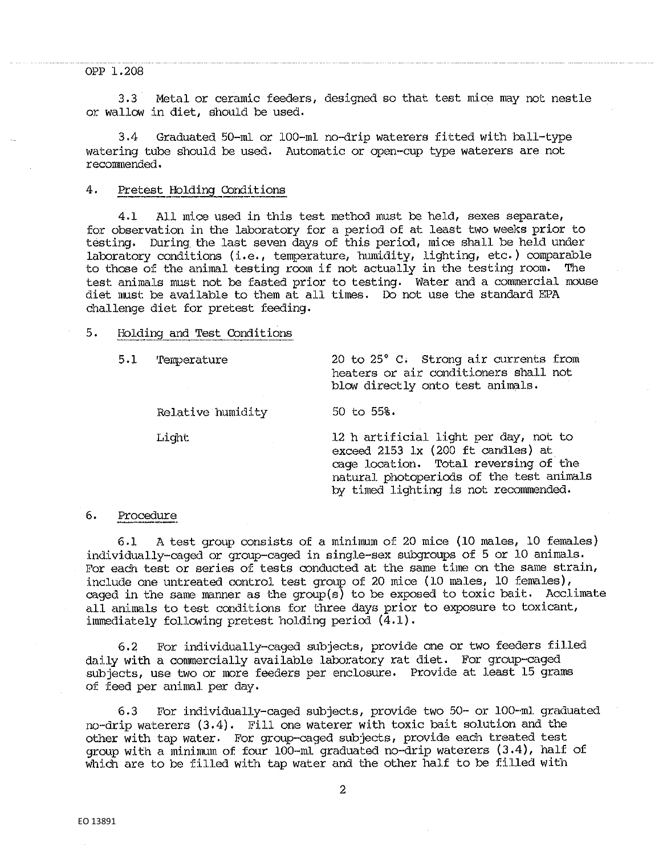#### OPP 1.208

3. 3 Metal or ceramic feeders, designed so that test mice may not nestle or wallow in diet, should be used.

3,4 Graduated 50-ml or 100-ml. no-drip waterers fitted with ball-type watering tube should be used. Automatic or open-cup type waterers are not recommended,

## 4, Pretest Holding Conditions

4,1 All mice used in this test method must be held, sexes separate, for observation in the laboratory for a period of at least two weeks prior to testing. During the last seven days of this period, mice shall be held under laboratory conditions (i.e., temperature, humidity, lighting, etc.) comparable to those of the animal testing room if not actually in the testing room. test animals must not be fasted prior to testing. Water and a commercial mouse diet must be available to them at all times. Do not use the standard EPA challenge diet for pretest feeding.

#### 5. Holding and Test Conditions

Relative humidity 50 to 55%.

5,1 Tenperature 20 to 25° C. Strong air currents from heaters or air conditioners shall not blow directly onto test animals.

Light 12 h artificial light per day, not to exceed 2153 lx (200 ft candles) at cage location. Total reversing of the natural photoperiods of the test animals by timed lighting is not recommended,

## 6, Procedure

6,1 A test group consists of a minimum of 20 mice (10 males, 10 females) individually-caged or group-caged in single-sex subgroups of 5 or 10 animals, For each test or series of tests conducted at the same time on the same strain, include one untreated control test group of 20 mice (10 males, 10 females), caged in the same manner as the group(s) to be exposed to toxic bait. Acclimate all animals to test conditions for three days prior to exposure to toxicant, immediately following pretest holding period  $(4.1)$ .

6,2 For individually-caged subjects, provide one or two feeders filled daily with a commercially available laboratory rat diet. For group-caged subjects, use two or more feeders per enclosure. Provide at least 15 grams of feed per animal per day.

6.3 For individually-caged subjects, provide two 50- or 100-ml graduated no·-drip waterers (3,4), Fill one waterer with toxic bait solution and the other with tap water. For group-caged subjects, provide each treated test group with a minimum of four 100-m.l graduated no-drip waterers (3,4), half of which are to be filled with tap water and the other half to be filled with

2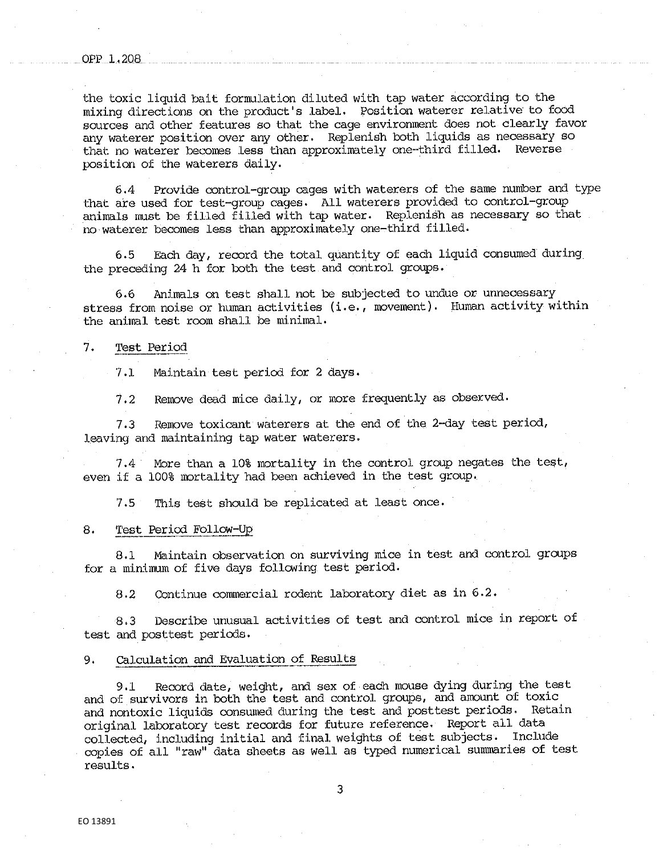the toxic liquid bait formulation diluted with tap water according to the mixing directions on the product's label, Position waterer relative· to food sources and other features so that the cage environment does not clearly favor any waterer position over any other, Replenish both liquids as necessary so that no waterer becomes less than approximately one-third filled, Reverse position of the waterers daily.

6,4 Provide control-group cages with wat.erers of the same number and type that are used for test-group cages. All waterers provided to control-group animals must be filled filled with tap water. Replenish as necessary so that no waterer becomes less than approximately one-third filled,

6.5 Each day, record the total quantity of each liquid consumed during the preceding 24 h for both the test and control groups,

6,6 Animals on test shall not be subjected to undue or unnecessary stress from noise or human activities (i.e., movement). Human activity within the animal test room shall be minimal,

#### 7. Test Period

7,1 Maintain test period for 2 days.

7,2 Remove dead mice daily, or more frequently as observed,

7.3 Remove toxicant waterers at the end of the 2-day test period, leaving and maintaining tap water waterers.

7.4 More than a 10% mortality in the control group negates the test, even if a 100% mortality had been achieved in the test group,

7.5 This test should be replicated at least once,

## 8. Test Period Follow-Up

8,1 Maintain observation on surviving mice in test and control groups for a minimum of five days following test period,

8,2 Continue commercial rodent laboratory diet as in 6,2,

8,3 Describe unusual activities of test and control mice in report of test and posttest periods.

## 9, Calculation and Evaluation of Results

9.1 Record date, weight, and sex of each mouse dying during the test and of survivors in both the test and control groups, and amount of toxic and nontoxic liquids consumed during the test and posttest periods. Retain original laboratory test records for future reference. Report all data collected, including initial and final weights of test subjects. Include copies of all "raw" data sheets as well as typed numerical summaries of test results.